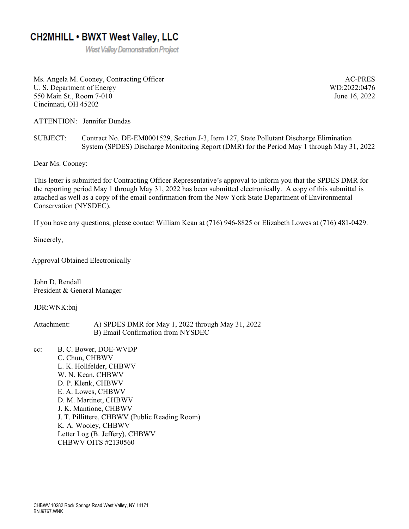# **CH2MHILL . BWXT West Valley, LLC**

**West Valley Demonstration Project** 

Ms. Angela M. Cooney, Contracting Officer AC-PRES U. S. Department of Energy WD:2022:0476 550 Main St., Room 7-010 June 16, 2022 Cincinnati, OH 45202

ATTENTION: Jennifer Dundas

SUBJECT: Contract No. DE-EM0001529, Section J-3, Item 127, State Pollutant Discharge Elimination System (SPDES) Discharge Monitoring Report (DMR) for the Period May 1 through May 31, 2022

Dear Ms. Cooney:

This letter is submitted for Contracting Officer Representative's approval to inform you that the SPDES DMR for the reporting period May 1 through May 31, 2022 has been submitted electronically. A copy of this submittal is attached as well as a copy of the email confirmation from the New York State Department of Environmental Conservation (NYSDEC).

If you have any questions, please contact William Kean at (716) 946-8825 or Elizabeth Lowes at (716) 481-0429.

Sincerely,

Approval Obtained Electronically

John D. Rendall President & General Manager

JDR:WNK:bnj

Attachment: A) SPDES DMR for May 1, 2022 through May 31, 2022 B) Email Confirmation from NYSDEC

cc: B. C. Bower, DOE-WVDP C. Chun, CHBWV L. K. Hollfelder, CHBWV W. N. Kean, CHBWV D. P. Klenk, CHBWV E. A. Lowes, CHBWV D. M. Martinet, CHBWV J. K. Mantione, CHBWV J. T. Pillittere, CHBWV (Public Reading Room) K. A. Wooley, CHBWV Letter Log (B. Jeffery), CHBWV CHBWV OITS #2130560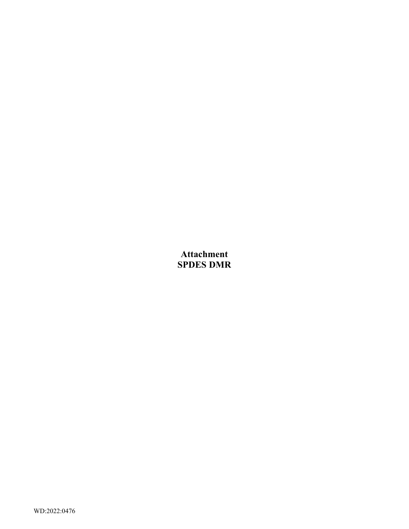**Attachment SPDES DMR**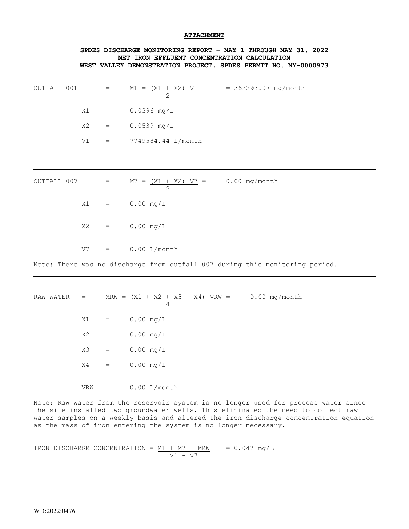#### **ATTACHMENT**

### **SPDES DISCHARGE MONITORING REPORT – MAY 1 THROUGH MAY 31, 2022 NET IRON EFFLUENT CONCENTRATION CALCULATION WEST VALLEY DEMONSTRATION PROJECT, SPDES PERMIT NO. NY-0000973**

|    |                         | OUTFALL 001 = $MI = \frac{(X1 + X2) V1}{2}$ = 362293.07 mg/month             |
|----|-------------------------|------------------------------------------------------------------------------|
| X1 | $= 0.0396 mg/L$         |                                                                              |
| X2 | $= 0.0539 \text{ mg/L}$ |                                                                              |
| V1 |                         | $= 7749584.44 L/month$                                                       |
|    |                         |                                                                              |
|    |                         | OUTFALL 007 = $M7 = (X1 + X2) V7 = 0.00 mg/month$                            |
| X1 | $= 0.00 \text{ mg/L}$   |                                                                              |
|    | $X2 = 0.00 mg/L$        |                                                                              |
|    | $V7 = 0.00 L/month$     |                                                                              |
|    |                         | Note: There was no discharge from outfall 007 during this monitoring period. |

RAW WATER = MRW = <u>(X1 + X2 + X3 + X4) VRW</u> = 0.00 mg/month 4  $X1 = 0.00 mg/L$  $X2 = 0.00$  mg/L  $X3 = 0.00 \text{ mg/L}$  $X4 = 0.00 \text{ mg/L}$  $VRW = 0.00 L/month$ 

Note: Raw water from the reservoir system is no longer used for process water since the site installed two groundwater wells. This eliminated the need to collect raw water samples on a weekly basis and altered the iron discharge concentration equation as the mass of iron entering the system is no longer necessary.

IRON DISCHARGE CONCENTRATION =  $\underline{M1}$  +  $\underline{M7}$  -  $\underline{M}\overline{R}\overline{W}$  = 0.047 mg/L V1 + V7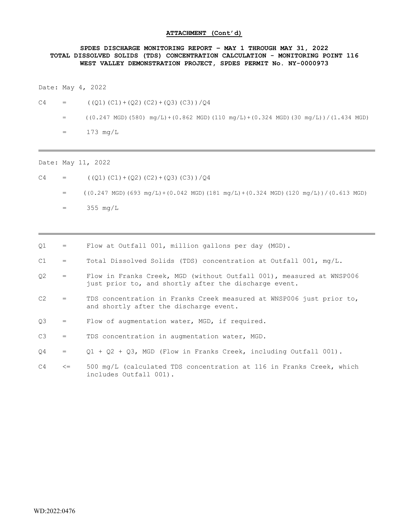### **ATTACHMENT (Cont'd)**

### **SPDES DISCHARGE MONITORING REPORT – MAY 1 THROUGH MAY 31, 2022 TOTAL DISSOLVED SOLIDS (TDS) CONCENTRATION CALCULATION - MONITORING POINT 116 WEST VALLEY DEMONSTRATION PROJECT, SPDES PERMIT No. NY-0000973**

Date: May 4, 2022

- C4 =  $((Q1)(C1)+(Q2)(C2)+(Q3)(C3))/Q4$ 
	- = ((0.247 MGD)(580) mg/L)+(0.862 MGD)(110 mg/L)+(0.324 MGD)(30 mg/L))/(1.434 MGD)
	- $=$  173 mg/L

Date: May 11, 2022

- C4 =  $((Q1)(C1)+(Q2)(C2)+(Q3)(C3))/Q4$ 
	- = ((0.247 MGD)(693 mg/L)+(0.042 MGD)(181 mg/L)+(0.324 MGD)(120 mg/L))/(0.613 MGD)

 $=$  355 mg/L

Q1 = Flow at Outfall 001, million gallons per day (MGD).

- C1 = Total Dissolved Solids (TDS) concentration at Outfall 001, mg/L.
- Q2 = Flow in Franks Creek, MGD (without Outfall 001), measured at WNSP006 just prior to, and shortly after the discharge event.
- C2 = TDS concentration in Franks Creek measured at WNSP006 just prior to, and shortly after the discharge event.
- Q3 = Flow of augmentation water, MGD, if required.
- C3 = TDS concentration in augmentation water, MGD.
- $Q4 = Q1 + Q2 + Q3$ , MGD (Flow in Franks Creek, including Outfall 001).
- $C4 \leq$  = 500 mg/L (calculated TDS concentration at 116 in Franks Creek, which includes Outfall 001).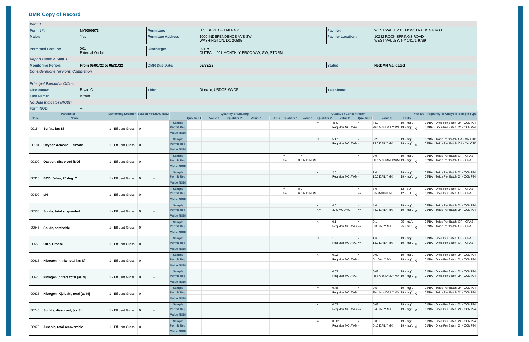| <b>Permit</b>      |                                           |                                |                                                 |                           |                                  |                    |                            |                                                  |                                        |              |                    |             |                    |                                            |                    |                                                          |                                    |                                                                            |  |
|--------------------|-------------------------------------------|--------------------------------|-------------------------------------------------|---------------------------|----------------------------------|--------------------|----------------------------|--------------------------------------------------|----------------------------------------|--------------|--------------------|-------------|--------------------|--------------------------------------------|--------------------|----------------------------------------------------------|------------------------------------|----------------------------------------------------------------------------|--|
| Permit#:           |                                           | NY0000973                      |                                                 | <b>Permittee:</b>         |                                  |                    | <b>U.S. DEPT OF ENERGY</b> |                                                  |                                        |              |                    |             |                    | <b>Facility:</b>                           |                    | WEST VALLEY DEMONSTRATION PROJ                           |                                    |                                                                            |  |
| Major:             |                                           | Yes                            |                                                 | <b>Permittee Address:</b> |                                  |                    | WASHINGTON, DC 20585       | 1000 INDEPENDENCE AVE SW                         |                                        |              |                    |             |                    | <b>Facility Location:</b>                  |                    | 10282 ROCK SPRINGS ROAD<br>WEST VALLEY, NY 14171-9799    |                                    |                                                                            |  |
|                    | <b>Permitted Feature:</b>                 | 001<br><b>External Outfall</b> |                                                 | Discharge:                |                                  |                    | 001-M                      |                                                  | OUTFALL 001 MONTHLY PROC WW, GW, STORM |              |                    |             |                    |                                            |                    |                                                          |                                    |                                                                            |  |
|                    | <b>Report Dates &amp; Status</b>          |                                |                                                 |                           |                                  |                    |                            |                                                  |                                        |              |                    |             |                    |                                            |                    |                                                          |                                    |                                                                            |  |
|                    | <b>Monitoring Period:</b>                 | From 05/01/22 to 05/31/22      |                                                 | <b>DMR Due Date:</b>      |                                  |                    | 06/28/22                   |                                                  |                                        |              |                    |             |                    | <b>Status:</b>                             |                    | <b>NetDMR Validated</b>                                  |                                    |                                                                            |  |
|                    | <b>Considerations for Form Completion</b> |                                |                                                 |                           |                                  |                    |                            |                                                  |                                        |              |                    |             |                    |                                            |                    |                                                          |                                    |                                                                            |  |
|                    | <b>Principal Executive Officer</b>        |                                |                                                 |                           |                                  |                    |                            |                                                  |                                        |              |                    |             |                    |                                            |                    |                                                          |                                    |                                                                            |  |
| <b>First Name:</b> |                                           | Bryan C.                       |                                                 | Title:                    |                                  |                    | Director, USDOE-WVDP       |                                                  |                                        |              |                    |             |                    | Telephone:                                 |                    |                                                          |                                    |                                                                            |  |
| <b>Last Name:</b>  |                                           | <b>Bower</b>                   |                                                 |                           |                                  |                    |                            |                                                  |                                        |              |                    |             |                    |                                            |                    |                                                          |                                    |                                                                            |  |
|                    | <b>No Data Indicator (NODI)</b>           |                                |                                                 |                           |                                  |                    |                            |                                                  |                                        |              |                    |             |                    |                                            |                    |                                                          |                                    |                                                                            |  |
| <b>Form NODI:</b>  |                                           | $\overline{\phantom{a}}$       |                                                 |                           |                                  |                    |                            |                                                  |                                        |              |                    |             |                    |                                            |                    |                                                          |                                    |                                                                            |  |
| Code               | <b>Parameter</b><br><b>Name</b>           |                                | <b>Monitoring Location Season # Param. NODI</b> |                           |                                  | <b>Qualifier 1</b> | Value 1                    | <b>Quantity or Loading</b><br><b>Qualifier 2</b> | Value 2                                | <b>Units</b> | <b>Qualifier 1</b> | Value 1     | <b>Qualifier 2</b> | <b>Quality or Concentration</b><br>Value 2 | <b>Qualifier 3</b> | Value 3                                                  | <b>Units</b>                       | # of Ex. Frequency of Analysis Sample Type                                 |  |
|                    |                                           |                                |                                                 |                           | <b>Sample</b>                    |                    |                            |                                                  |                                        |              |                    |             | $=$                | 45.0                                       | $=$                | 45.0                                                     | $19 - mg/L$                        | 01/BA - Once Per Batch 24 - COMP24                                         |  |
|                    | 00154   Sulfate [as S]                    |                                | 1 - Effluent Gross   0                          | $\overline{\phantom{a}}$  | Permit Req.                      |                    |                            |                                                  |                                        |              |                    |             |                    | Req Mon MO AVG                             |                    | Req Mon DAILY MX $\left 19 \cdot \text{mg/L}\right _{0}$ |                                    | 01/BA - Once Per Batch 24 - COMP24                                         |  |
|                    |                                           |                                |                                                 |                           | <b>Value NODI</b>                |                    |                            |                                                  |                                        |              |                    |             |                    |                                            |                    |                                                          |                                    |                                                                            |  |
|                    | Oxygen demand, ultimate                   |                                | 1 - Effluent Gross 0                            | $\overline{\phantom{a}}$  | Sample<br>Permit Req.            |                    |                            |                                                  |                                        |              |                    |             | $\vert$ <          | 5.17<br>Req Mon MO AVG $\leq$              | $\vert$ <          | 5.29<br>22.0 DAILY MX                                    | 19 - mg/L<br>$19 - mg/L$ 0         | 02/BA - Twice Per Batch CA - CALCTD<br>02/BA - Twice Per Batch CA - CALCTD |  |
| 00181              |                                           |                                |                                                 |                           | <b>Value NODI</b>                |                    |                            |                                                  |                                        |              |                    |             |                    |                                            |                    |                                                          |                                    |                                                                            |  |
|                    |                                           |                                |                                                 |                           | <b>Sample</b>                    |                    |                            |                                                  |                                        |              | $=$                | 7.4         |                    |                                            | $=$                | 9.9                                                      | 19 - mg/L                          | 02/BA - Twice Per Batch GR - GRAB                                          |  |
| 00300              | Oxygen, dissolved [DO]                    |                                | 1 - Effluent Gross   0                          |                           | Permit Req.                      |                    |                            |                                                  |                                        |              | $>=$               | 3.0 MINIMUM |                    |                                            |                    | Req Mon MAXIMUM 19 - mg/L 0                              |                                    | 02/BA - Twice Per Batch GR - GRAB                                          |  |
|                    |                                           |                                |                                                 |                           | <b>Value NODI</b>                |                    |                            |                                                  |                                        |              |                    |             |                    | 2.0                                        |                    | 2.0                                                      |                                    | 02/BA - Twice Per Batch 24 - COMP24                                        |  |
| 00310              | BOD, 5-day, 20 deg. C                     |                                | 1 - Effluent Gross 0                            | $\overline{\phantom{a}}$  | <b>Sample</b><br>Permit Req.     |                    |                            |                                                  |                                        |              |                    |             | $\vert$ <          | Req Mon MO AVG $\leq$                      | $\vert$ <          | 10.0 DAILY MX                                            | 19 - mg/L<br>$19 - mg/L$ 0         | 02/BA - Twice Per Batch 24 - COMP24                                        |  |
|                    |                                           |                                |                                                 |                           | <b>Value NODI</b>                |                    |                            |                                                  |                                        |              |                    |             |                    |                                            |                    |                                                          |                                    |                                                                            |  |
|                    |                                           |                                |                                                 |                           | Sample                           |                    |                            |                                                  |                                        |              | $=$                | 8.0         |                    |                                            | $=$                | 8.0                                                      | $12 - SU$                          | 01/BA - Once Per Batch GR - GRAB                                           |  |
| $00400$ pH         |                                           |                                | 1 - Effluent Gross   0                          | $\overline{\phantom{a}}$  | Permit Req.<br><b>Value NODI</b> |                    |                            |                                                  |                                        |              | $>=$               | 6.5 MINIMUM |                    |                                            | $\leq$             | 8.5 MAXIMUM                                              | $12 - SU$ 0                        | 01/BA - Once Per Batch GR - GRAB                                           |  |
|                    |                                           |                                |                                                 |                           | Sample                           |                    |                            |                                                  |                                        |              |                    |             | $\vert$ <          | 4.0                                        | $\vert$ <          | 4.0                                                      | $19 - mg/L$                        | 02/BA - Twice Per Batch 24 - COMP24                                        |  |
|                    | 00530 Solids, total suspended             |                                | 1 - Effluent Gross<br>$\overline{0}$            | $\overline{\phantom{a}}$  | Permit Req.                      |                    |                            |                                                  |                                        |              |                    |             | $\leq$             | 30.0 MO AVG                                | $\leq$             | 45.0 DAILY MX                                            | 19 - mg/L $_0$                     | 02/BA - Twice Per Batch 24 - COMP24                                        |  |
|                    |                                           |                                |                                                 |                           | <b>Value NODI</b>                |                    |                            |                                                  |                                        |              |                    |             |                    |                                            |                    |                                                          |                                    |                                                                            |  |
|                    |                                           |                                |                                                 |                           | Sample<br>Permit Req.            |                    |                            |                                                  |                                        |              |                    |             | $\leq$             | 0.1<br>Req Mon MO AVG <=                   | $\vert$ <          | 0.1<br>0.3 DAILY MX                                      | $25 - mL/L$<br>25 - mL/L $\vert$ 0 | 02/BA - Twice Per Batch GR - GRAB<br>02/BA - Twice Per Batch GR - GRAB     |  |
|                    | 00545   Solids, settleable                |                                | 1 - Effluent Gross   0                          | $\overline{\phantom{a}}$  | <b>Value NODI</b>                |                    |                            |                                                  |                                        |              |                    |             |                    |                                            |                    |                                                          |                                    |                                                                            |  |
|                    |                                           |                                |                                                 |                           | Sample                           |                    |                            |                                                  |                                        |              |                    |             | $\vert$ <          | 1.6                                        | $\vert$ <          | 1.6                                                      | 19 - mg/L                          | 01/BA - Once Per Batch GR - GRAB                                           |  |
|                    | 00556 Oil & Grease                        |                                | 1 - Effluent Gross   0                          | $\overline{\phantom{a}}$  | Permit Req.                      |                    |                            |                                                  |                                        |              |                    |             |                    | Req Mon MO AVG <=                          |                    | 15.0 DAILY MX                                            | 19 - mg/L $_0$                     | 01/BA - Once Per Batch GR - GRAB                                           |  |
|                    |                                           |                                |                                                 |                           | <b>Value NODI</b>                |                    |                            |                                                  |                                        |              |                    |             |                    |                                            |                    |                                                          |                                    |                                                                            |  |
|                    | 00615 Nitrogen, nitrite total [as N]      |                                | 1 - Effluent Gross   0                          | $\overline{\phantom{a}}$  | Sample<br>Permit Req.            |                    |                            |                                                  |                                        |              |                    |             | $\vert$ <          | 0.02<br>Req Mon MO AVG <=                  | $\leq$             | 0.02<br>0.1 DAILY MX                                     | $19 - mg/L$<br>19 - mg/L $_0$      | 01/BA - Once Per Batch 24 - COMP24<br>01/BA - Once Per Batch 24 - COMP24   |  |
|                    |                                           |                                |                                                 |                           | <b>Value NODI</b>                |                    |                            |                                                  |                                        |              |                    |             |                    |                                            |                    |                                                          |                                    |                                                                            |  |
|                    |                                           |                                |                                                 |                           | Sample                           |                    |                            |                                                  |                                        |              |                    |             | $=$                | 0.02                                       | $=$                | 0.02                                                     | 19 - mg/L                          | 01/BA - Once Per Batch 24 - COMP24                                         |  |
| 00620              | Nitrogen, nitrate total [as N]            |                                | 1 - Effluent Gross   0                          | $\overline{\phantom{a}}$  | Permit Req.                      |                    |                            |                                                  |                                        |              |                    |             |                    | Req Mon MO AVG                             |                    | Req Mon DAILY MX 19 - mg/L 0                             |                                    | 01/BA - Once Per Batch 24 - COMP24                                         |  |
|                    |                                           |                                |                                                 |                           | <b>Value NODI</b><br>Sample      |                    |                            |                                                  |                                        |              |                    |             | $=$                | 0.48                                       | $=$                | 0.5                                                      | 19 - mg/L                          | 02/BA - Twice Per Batch 24 - COMP24                                        |  |
| 00625              | Nitrogen, Kjeldahl, total [as N]          |                                | 1 - Effluent Gross   0                          |                           | Permit Req.                      |                    |                            |                                                  |                                        |              |                    |             |                    | Req Mon MO AVG                             |                    | Req Mon DAILY MX $ 19 - mg/L _0$                         |                                    | 02/BA - Twice Per Batch 24 - COMP24                                        |  |
|                    |                                           |                                |                                                 |                           | <b>Value NODI</b>                |                    |                            |                                                  |                                        |              |                    |             |                    |                                            |                    |                                                          |                                    |                                                                            |  |
|                    |                                           |                                |                                                 |                           | Sample                           |                    |                            |                                                  |                                        |              |                    |             | $\vert$ <          | 0.03                                       | $\vert$ <          | 0.03                                                     | 19 - mg/L                          | 01/BA - Once Per Batch 24 - COMP24                                         |  |
|                    | 00746 Sulfide, dissolved, [as S]          |                                | 1 - Effluent Gross   0                          | $\overline{\phantom{a}}$  | Permit Req.<br><b>Value NODI</b> |                    |                            |                                                  |                                        |              |                    |             |                    | Req Mon MO AVG $\leq$                      |                    | 0.4 DAILY MX                                             | 19 - mg/L $_0$                     | 01/BA - Once Per Batch 24 - COMP24                                         |  |
|                    |                                           |                                |                                                 |                           | Sample                           |                    |                            |                                                  |                                        |              |                    |             | $=$                | 0.001                                      | $=$                | 0.001                                                    | 19 - mg/L                          | 01/BA - Once Per Batch 24 - COMP24                                         |  |
| 00978              | Arsenic, total recoverable                |                                | 1 - Effluent Gross   0                          | $\overline{\phantom{a}}$  | Permit Req.                      |                    |                            |                                                  |                                        |              |                    |             |                    | Req Mon MO AVG <=                          |                    | 0.15 DAILY MX                                            | $19 - mg/L$ 0                      | 01/BA - Once Per Batch 24 - COMP24                                         |  |
|                    |                                           |                                |                                                 |                           | <b>Value NODI</b>                |                    |                            |                                                  |                                        |              |                    |             |                    |                                            |                    |                                                          |                                    |                                                                            |  |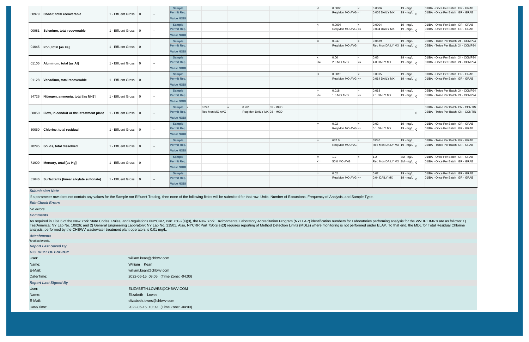|       | 00979 Cobalt, total recoverable                  | 1 - Effluent Gross   0 |                          | <b>Sample</b><br>Permit Rea.<br><b>Value NODI</b> |                               |                                    |          | $\leq$           | 0.0006<br>Req Mon MO AVG $\leq$ | $\vert$ <        | 0.0006<br>0.005 DAILY MX 19 - mg/L 0   | 19 - mg/L                        | 01/BA - Once Per Batch GR - GRAB<br>01/BA - Once Per Batch GR - GRAB       |  |
|-------|--------------------------------------------------|------------------------|--------------------------|---------------------------------------------------|-------------------------------|------------------------------------|----------|------------------|---------------------------------|------------------|----------------------------------------|----------------------------------|----------------------------------------------------------------------------|--|
| 00981 | Selenium, total recoverable                      | 1 - Effluent Gross 0   |                          | <b>Sample</b><br>Permit Reg.<br><b>Value NODI</b> |                               |                                    |          | $\vert$ <        | 0.0004<br>Req Mon MO AVG $\leq$ | $\leq$           | 0.0004<br>0.004 DAILY MX               | 19 - mg/L<br>19 - mg/L $\vert$ 0 | 01/BA - Once Per Batch GR - GRAB<br>01/BA - Once Per Batch GR - GRAB       |  |
|       | 01045   Iron, total [as Fe]                      | 1 - Effluent Gross   0 | $\overline{\phantom{a}}$ | <b>Sample</b><br>Permit Req.<br><b>Value NODI</b> |                               |                                    |          | $=$              | 0.047<br>Req Mon MO AVG         | $=$              | 0.0539<br>Req Mon DAILY MX 19 - mg/L 0 | 19 - mg/L                        | 02/BA - Twice Per Batch 24 - COMP24<br>02/BA - Twice Per Batch 24 - COMP24 |  |
|       | 01105   Aluminum, total [as Al]                  | 1 - Effluent Gross   0 |                          | <b>Sample</b><br>Permit Req.<br><b>Value NODI</b> |                               |                                    |          | $\leq$<br>$\leq$ | 0.06<br>2.0 MO AVG              | $\leq$<br>$\leq$ | 0.06<br>4.0 DAILY MX                   | 19 - mg/L<br>$19 - mg/L$ 0       | 01/BA - Once Per Batch 24 - COMP24<br>01/BA - Once Per Batch 24 - COMP24   |  |
|       | 01128 Vanadium, total recoverable                | 1 - Effluent Gross   0 | $ -$                     | Sample<br>Permit Reg.<br><b>Value NODI</b>        |                               |                                    |          | $\vert$ <        | 0.0015<br>Req Mon MO AVG $\leq$ | $\leq$           | 0.0015<br>0.014 DAILY MX               | 19 - mg/L<br>19 - mg/L $_0$      | 01/BA - Once Per Batch GR - GRAB<br>01/BA - Once Per Batch GR - GRAB       |  |
|       | 34726 Nitrogen, ammonia, total [as NH3]          | 1 - Effluent Gross   0 | $\overline{\phantom{a}}$ | <b>Sample</b><br>Permit Reg.<br><b>Value NODI</b> |                               |                                    |          | $=$<br>$\leq$    | 0.018<br>1.5 MO AVG             | $=$<br>$\leq$    | 0.018<br>2.1 DAILY MX                  | $19 - mg/L$<br>$19 - mg/L$ 0     | 02/BA - Twice Per Batch 24 - COMP24<br>02/BA - Twice Per Batch 24 - COMP24 |  |
|       | 50050   Flow, in conduit or thru treatment plant | 1 - Effluent Gross 0   |                          | <b>Sample</b><br>Permit Req.<br><b>Value NODI</b> | 0.247<br>H.<br>Req Mon MO AVG | 0.281<br>Req Mon DAILY MX 03 - MGD | 03 - MGD |                  |                                 |                  |                                        | $\Omega$                         | 02/BA - Twice Per Batch CN - CONTIN<br>02/BA - Twice Per Batch CN - CONTIN |  |
| 50060 | Chlorine, total residual                         | 1 - Effluent Gross   0 |                          | <b>Sample</b><br>Permit Reg.<br><b>Value NODI</b> |                               |                                    |          | $=$              | 0.02<br>Req Mon MO AVG $\leq$   | $=$              | 0.02<br>0.1 DAILY MX                   | 19 - mg/L<br>19 - mg/L $_0$      | 01/BA - Once Per Batch GR - GRAB<br>01/BA - Once Per Batch GR - GRAB       |  |
|       | 70295 Solids, total dissolved                    | 1 - Effluent Gross 0   | $\overline{\phantom{a}}$ | <b>Sample</b><br>Permit Reg.<br><b>Value NODI</b> |                               |                                    |          | $=$              | 637.0<br>Req Mon MO AVG         | $=$              | 693.0<br>Req Mon DAILY MX 19 - mg/L 0  | $19 - mq/L$                      | 02/BA - Twice Per Batch GR - GRAB<br>02/BA - Twice Per Batch GR - GRAB     |  |
| 71900 | Mercury, total [as Hg]                           | 1 - Effluent Gross   0 | $\overline{\phantom{a}}$ | <b>Sample</b><br>Permit Req.<br><b>Value NODI</b> |                               |                                    |          | $=$<br>$\leq$    | 1.2<br>50.0 MO AVG              | $=$              | $1.2$<br>Req Mon DAILY MX 3M - ng/L 0  | 3M - ng/L                        | 01/BA - Once Per Batch GR - GRAB<br>01/BA - Once Per Batch GR - GRAB       |  |
|       | 81646   Surfactants [linear alkylate sulfonate]  | 1 - Effluent Gross 0   | $\overline{\phantom{a}}$ | <b>Sample</b><br>Permit Reg.<br><b>Value NODI</b> |                               |                                    |          | $=$              | 0.02<br>Req Mon MO AVG $\leq$   | $=$              | 0.02<br>0.04 DAILY MX                  | $19 - mq/L$<br>$19 - mg/L$ 0     | 01/BA - Once Per Batch GR - GRAB<br>01/BA - Once Per Batch GR - GRAB       |  |

As required in Title 6 of the New York State Codes, Rules, and Regulations 6NYCRR, Part 750-2(e)(3), the New York Environmental Laboratory Accreditation Program (NYELAP) identification numbers for Laboratories performing a TestAmerica: NY Lab No. 10026; and 2) General Engineering Laboratory: NY Lab No. 11501. Also, NYCRR Part 750-2(e)(3) requires reporting of Method Detection Limits (MDLs) where monitoring is not performed under ELAP. To tha analysis, performed by the CHBWV wastewater treatment plant operators is 0.01 mg/L.

**Submission Note**

If a parameter row does not contain any values for the Sample nor Effluent Trading, then none of the following fields will be submitted for that row: Units, Number of Excursions, Frequency of Analysis, and Sample Type.

**Edit Check Errors**

No errors.

#### **Comments**

| <b>Attachments</b>           |                                      |
|------------------------------|--------------------------------------|
| No attachments.              |                                      |
| <b>Report Last Saved By</b>  |                                      |
| <b>U.S. DEPT OF ENERGY</b>   |                                      |
| User:                        | william.kean@chbwv.com               |
| Name:                        | William Kean                         |
| E-Mail:                      | william.kean@chbwv.com               |
| Date/Time:                   | 2022-06-15 09:05 (Time Zone: -04:00) |
| <b>Report Last Signed By</b> |                                      |
| User:                        | ELIZABETH.LOWES@CHBWV.COM            |
| Name:                        | Elizabeth Lowes                      |
| E-Mail:                      | elizabeth.lowes@chbwv.com            |
| Date/Time:                   | 2022-06-15 10:09 (Time Zone: -04:00) |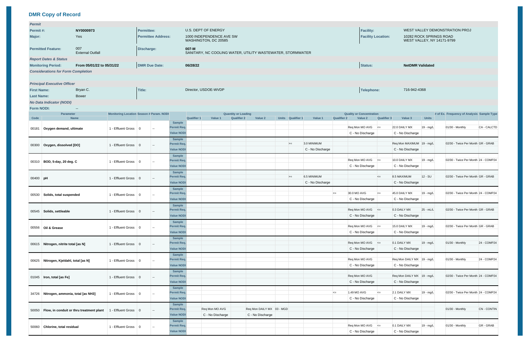| <b>Permit</b>      |                                           |                                          |                                                 |                   |                           |                                     |                    |                                                            |                            |                           |                          |                  |                    |                                 |                    |                                                       |              |                                            |                  |
|--------------------|-------------------------------------------|------------------------------------------|-------------------------------------------------|-------------------|---------------------------|-------------------------------------|--------------------|------------------------------------------------------------|----------------------------|---------------------------|--------------------------|------------------|--------------------|---------------------------------|--------------------|-------------------------------------------------------|--------------|--------------------------------------------|------------------|
| Permit#:           |                                           | NY0000973                                |                                                 | <b>Permittee:</b> |                           |                                     |                    | <b>U.S. DEPT OF ENERGY</b>                                 |                            |                           |                          |                  |                    | <b>Facility:</b>                |                    |                                                       |              | WEST VALLEY DEMONSTRATION PROJ             |                  |
| Major:             |                                           | Yes                                      |                                                 |                   | <b>Permittee Address:</b> |                                     |                    | 1000 INDEPENDENCE AVE SW<br>WASHINGTON, DC 20585           |                            |                           |                          |                  |                    | <b>Facility Location:</b>       |                    | 10282 ROCK SPRINGS ROAD<br>WEST VALLEY, NY 14171-9799 |              |                                            |                  |
|                    | <b>Permitted Feature:</b>                 | 007<br><b>External Outfall</b>           |                                                 | Discharge:        |                           |                                     | 007-M              | SANITARY, NC COOLING WATER, UTILITY WASTEWATER, STORMWATER |                            |                           |                          |                  |                    |                                 |                    |                                                       |              |                                            |                  |
|                    | <b>Report Dates &amp; Status</b>          |                                          |                                                 |                   |                           |                                     |                    |                                                            |                            |                           |                          |                  |                    |                                 |                    |                                                       |              |                                            |                  |
|                    | <b>Monitoring Period:</b>                 | From 05/01/22 to 05/31/22                |                                                 |                   | <b>DMR Due Date:</b>      |                                     | 06/28/22           |                                                            |                            |                           |                          |                  |                    | Status:                         |                    | <b>NetDMR Validated</b>                               |              |                                            |                  |
|                    | <b>Considerations for Form Completion</b> |                                          |                                                 |                   |                           |                                     |                    |                                                            |                            |                           |                          |                  |                    |                                 |                    |                                                       |              |                                            |                  |
|                    | <b>Principal Executive Officer</b>        |                                          |                                                 |                   |                           |                                     |                    |                                                            |                            |                           |                          |                  |                    |                                 |                    |                                                       |              |                                            |                  |
| <b>First Name:</b> |                                           | Bryan C.                                 |                                                 | Title:            |                           |                                     |                    | Director, USDOE-WVDP                                       |                            |                           |                          |                  |                    | Telephone:                      |                    | 716-942-4368                                          |              |                                            |                  |
| <b>Last Name:</b>  |                                           | Bower                                    |                                                 |                   |                           |                                     |                    |                                                            |                            |                           |                          |                  |                    |                                 |                    |                                                       |              |                                            |                  |
|                    | <b>No Data Indicator (NODI)</b>           |                                          |                                                 |                   |                           |                                     |                    |                                                            |                            |                           |                          |                  |                    |                                 |                    |                                                       |              |                                            |                  |
| Form NODI:         |                                           | $\sim$                                   |                                                 |                   |                           |                                     |                    |                                                            |                            |                           |                          |                  |                    |                                 |                    |                                                       |              |                                            |                  |
|                    | Parameter                                 |                                          | <b>Monitoring Location Season # Param. NODI</b> |                   |                           |                                     |                    |                                                            | <b>Quantity or Loading</b> |                           |                          |                  |                    | <b>Quality or Concentration</b> |                    |                                                       |              | # of Ex. Frequency of Analysis Sample Type |                  |
| Code               |                                           | <b>Name</b>                              |                                                 |                   |                           | <b>Sample</b>                       | <b>Qualifier 1</b> | Value 1                                                    | <b>Qualifier 2</b>         | Value 2                   | <b>Units Qualifier 1</b> | Value 1          | <b>Qualifier 2</b> | Value 2                         | <b>Qualifier 3</b> | Value 3                                               | <b>Units</b> |                                            |                  |
| 00181              | Oxygen demand, ultimate                   |                                          | 1 - Effluent Gross   0                          |                   | $\overline{\phantom{a}}$  | Permit Req.                         |                    |                                                            |                            |                           |                          |                  |                    | $\text{Req Mon MO AVG}$ <=      |                    | 22.0 DAILY MX                                         | $19 - mg/L$  | 01/30 - Monthly                            | CA - CALCTD      |
|                    |                                           |                                          |                                                 |                   |                           | <b>Value NODI</b>                   |                    |                                                            |                            |                           |                          |                  |                    | C - No Discharge                |                    | C - No Discharge                                      |              |                                            |                  |
|                    |                                           |                                          |                                                 |                   |                           | <b>Sample</b>                       |                    |                                                            |                            |                           |                          |                  |                    |                                 |                    |                                                       |              |                                            |                  |
| 00300              | Oxygen, dissolved [DO]                    |                                          | 1 - Effluent Gross   0                          |                   | --                        | Permit Req.                         |                    |                                                            |                            |                           | $>=$                     | 3.0 MINIMUM      |                    |                                 |                    | Req Mon MAXIMUM 19 - mg/L                             |              | 02/30 - Twice Per Month GR - GRAB          |                  |
|                    |                                           |                                          |                                                 |                   |                           | <b>Value NODI</b>                   |                    |                                                            |                            |                           |                          | C - No Discharge |                    |                                 |                    | C - No Discharge                                      |              |                                            |                  |
|                    |                                           |                                          |                                                 |                   |                           | Sample<br>Permit Req.               |                    |                                                            |                            |                           |                          |                  |                    | $\text{Req Mon MO AVG}$ <=      |                    | 10.0 DAILY MX                                         | 19 - mg/L    | 02/30 - Twice Per Month 24 - COMP24        |                  |
| 00310              | BOD, 5-day, 20 deg. C                     |                                          | 1 - Effluent Gross   0                          |                   | $\overline{\phantom{a}}$  | <b>Value NODI</b>                   |                    |                                                            |                            |                           |                          |                  |                    | C - No Discharge                |                    | C - No Discharge                                      |              |                                            |                  |
|                    |                                           |                                          |                                                 |                   |                           | <b>Sample</b>                       |                    |                                                            |                            |                           |                          |                  |                    |                                 |                    |                                                       |              |                                            |                  |
| 00400 pH           |                                           |                                          | 1 - Effluent Gross   0                          |                   |                           | Permit Req.                         |                    |                                                            |                            |                           | $>=$                     | 6.5 MINIMUM      |                    |                                 | $\leq$             | 8.5 MAXIMUM                                           | $12 - SU$    | 02/30 - Twice Per Month GR - GRAB          |                  |
|                    |                                           |                                          |                                                 |                   |                           | <b>Value NODI</b>                   |                    |                                                            |                            |                           |                          | C - No Discharge |                    |                                 |                    | C - No Discharge                                      |              |                                            |                  |
|                    |                                           |                                          |                                                 |                   |                           | <b>Sample</b>                       |                    |                                                            |                            |                           |                          |                  |                    |                                 |                    |                                                       |              |                                            |                  |
| 00530              | Solids, total suspended                   |                                          | 1 - Effluent Gross   0                          |                   | $\overline{\phantom{a}}$  | Permit Req.                         |                    |                                                            |                            |                           |                          |                  | $\leq$             | 30.0 MO AVG                     | $\leq$             | 45.0 DAILY MX                                         | 19 - mg/L    | 02/30 - Twice Per Month 24 - COMP24        |                  |
|                    |                                           |                                          |                                                 |                   |                           | <b>Value NODI</b>                   |                    |                                                            |                            |                           |                          |                  |                    | C - No Discharge                |                    | C - No Discharge                                      |              |                                            |                  |
|                    |                                           |                                          |                                                 |                   |                           | <b>Sample</b><br><b>Permit Reg.</b> |                    |                                                            |                            |                           |                          |                  |                    | $\text{Req Mon MO AVG}$ <=      |                    | 0.3 DAILY MX                                          | 25 - mL/L    | 02/30 - Twice Per Month GR - GRAB          |                  |
|                    | 00545   Solids, settleable                |                                          | 1 - Effluent Gross   0                          |                   |                           | <b>Value NODI</b>                   |                    |                                                            |                            |                           |                          |                  |                    | C - No Discharge                |                    | C - No Discharge                                      |              |                                            |                  |
|                    |                                           |                                          |                                                 |                   |                           | Sample                              |                    |                                                            |                            |                           |                          |                  |                    |                                 |                    |                                                       |              |                                            |                  |
|                    | 00556 Oil & Grease                        |                                          | 1 - Effluent Gross   0                          |                   |                           | Permit Req.                         |                    |                                                            |                            |                           |                          |                  |                    | $\text{Req Mon MO AVG}$ <=      |                    | 15.0 DAILY MX                                         | 19 - mg/L    | 02/30 - Twice Per Month GR - GRAB          |                  |
|                    |                                           |                                          |                                                 |                   |                           | <b>Value NODI</b>                   |                    |                                                            |                            |                           |                          |                  |                    | C - No Discharge                |                    | C - No Discharge                                      |              |                                            |                  |
|                    |                                           |                                          |                                                 |                   |                           | <b>Sample</b>                       |                    |                                                            |                            |                           |                          |                  |                    |                                 |                    |                                                       |              |                                            |                  |
|                    | 00615 Nitrogen, nitrite total [as N]      |                                          | 1 - Effluent Gross 0                            |                   | --                        | Permit Req.                         |                    |                                                            |                            |                           |                          |                  |                    | $\text{Req Mon MO AVG}$ <=      |                    | 0.1 DAILY MX                                          | $19 - mg/L$  | 01/30 - Monthly                            | 24 - COMP24      |
|                    |                                           |                                          |                                                 |                   |                           | <b>Value NODI</b>                   |                    |                                                            |                            |                           |                          |                  |                    | C - No Discharge                |                    | C - No Discharge                                      |              |                                            |                  |
|                    |                                           |                                          |                                                 |                   |                           | <b>Sample</b><br>Permit Req.        |                    |                                                            |                            |                           |                          |                  |                    | Req Mon MO AVG                  |                    | Req Mon DAILY MX 19 - mg/L                            |              | 01/30 - Monthly                            | 24 - COMP24      |
| 00625              | Nitrogen, Kjeldahl, total [as N]          |                                          | 1 - Effluent Gross   0                          |                   |                           | <b>Value NODI</b>                   |                    |                                                            |                            |                           |                          |                  |                    | C - No Discharge                |                    | C - No Discharge                                      |              |                                            |                  |
|                    |                                           |                                          |                                                 |                   |                           | <b>Sample</b>                       |                    |                                                            |                            |                           |                          |                  |                    |                                 |                    |                                                       |              |                                            |                  |
|                    | 01045   Iron, total [as Fe]               |                                          | 1 - Effluent Gross   0                          |                   | $\overline{\phantom{a}}$  | Permit Req.                         |                    |                                                            |                            |                           |                          |                  |                    | Req Mon MO AVG                  |                    | Req Mon DAILY MX 19 - mg/L                            |              | 02/30 - Twice Per Month 24 - COMP24        |                  |
|                    |                                           |                                          |                                                 |                   |                           | <b>Value NODI</b>                   |                    |                                                            |                            |                           |                          |                  |                    | C - No Discharge                |                    | C - No Discharge                                      |              |                                            |                  |
|                    |                                           |                                          |                                                 |                   |                           | <b>Sample</b>                       |                    |                                                            |                            |                           |                          |                  |                    |                                 |                    |                                                       |              |                                            |                  |
| 34726              | Nitrogen, ammonia, total [as NH3]         |                                          | 1 - Effluent Gross   0                          |                   | $\overline{\phantom{a}}$  | Permit Req.                         |                    |                                                            |                            |                           |                          |                  | $\leq$             | 1.49 MO AVG                     | $\leq$             | 2.1 DAILY MX                                          | 19 - mg/L    | 02/30 - Twice Per Month 24 - COMP24        |                  |
|                    |                                           |                                          |                                                 |                   |                           | <b>Value NODI</b>                   |                    |                                                            |                            |                           |                          |                  |                    | C - No Discharge                |                    | C - No Discharge                                      |              |                                            |                  |
|                    |                                           |                                          |                                                 |                   |                           | Sample<br>Permit Req.               |                    | Req Mon MO AVG                                             |                            | Req Mon DAILY MX 03 - MGD |                          |                  |                    |                                 |                    |                                                       |              | 01/30 - Monthly                            | <b>CN-CONTIN</b> |
| 50050              |                                           | Flow, in conduit or thru treatment plant | 1 - Effluent Gross 0                            |                   |                           | <b>Value NODI</b>                   |                    | C - No Discharge                                           |                            | C - No Discharge          |                          |                  |                    |                                 |                    |                                                       |              |                                            |                  |
|                    |                                           |                                          |                                                 |                   |                           | <b>Sample</b>                       |                    |                                                            |                            |                           |                          |                  |                    |                                 |                    |                                                       |              |                                            |                  |
| 50060              | Chlorine, total residual                  |                                          | 1 - Effluent Gross   0                          |                   |                           | Permit Req.                         |                    |                                                            |                            |                           |                          |                  |                    | $\text{Req Mon MO AVG}$ <=      |                    | 0.1 DAILY MX                                          | 19 - mg/L    | 01/30 - Monthly                            | GR - GRAB        |
|                    |                                           |                                          |                                                 |                   |                           | <b>Value NODI</b>                   |                    |                                                            |                            |                           |                          |                  |                    | C - No Discharge                |                    | C - No Discharge                                      |              |                                            |                  |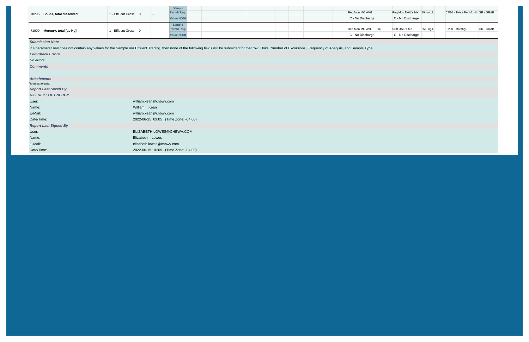| 70295 Solids, total dissolved | 1 - Effluent Gross   0 | $- -$ | <b>Sample</b><br>Permit Req. |  |  | Reg Mon MO AVG             | Req Mon DAILY MX 19 - mg/L |             | 02/30 - Twice Per Month GR - GRAB |           |
|-------------------------------|------------------------|-------|------------------------------|--|--|----------------------------|----------------------------|-------------|-----------------------------------|-----------|
|                               |                        |       | <b>Value NODI</b>            |  |  | C - No Discharge           | C - No Discharge           |             |                                   |           |
| 71900 Mercury, total [as Hg]  | 1 - Effluent Gross   0 |       | <b>Sample</b><br>Permit Req. |  |  | $\text{Req Mon MO AVG}$ <= | 50.0 DAILY MX              | $3M - nq/L$ | 01/30 - Monthly                   | GR - GRAB |
|                               |                        | $- -$ | <b>Value NODI</b>            |  |  | C - No Discharge           | C - No Discharge           |             |                                   |           |
| <b>Submission Note</b>        |                        |       |                              |  |  |                            |                            |             |                                   |           |

If a parameter row does not contain any values for the Sample nor Effluent Trading, then none of the following fields will be submitted for that row: Units, Number of Excursions, Frequency of Analysis, and Sample Type. **Edit Check Errors**

#### **Submission Note**

| No errors.                   |                                      |
|------------------------------|--------------------------------------|
| <b>Comments</b>              |                                      |
|                              |                                      |
| <b>Attachments</b>           |                                      |
| No attachments.              |                                      |
| <b>Report Last Saved By</b>  |                                      |
| <b>U.S. DEPT OF ENERGY</b>   |                                      |
| User:                        | william.kean@chbwv.com               |
| Name:                        | William Kean                         |
| E-Mail:                      | william.kean@chbwv.com               |
| Date/Time:                   | 2022-06-15 09:05 (Time Zone: -04:00) |
| <b>Report Last Signed By</b> |                                      |
| User:                        | ELIZABETH.LOWES@CHBWV.COM            |
| Name:                        | Elizabeth Lowes                      |
| E-Mail:                      | elizabeth.lowes@chbwv.com            |
| Date/Time:                   | 2022-06-15 10:09 (Time Zone: -04:00) |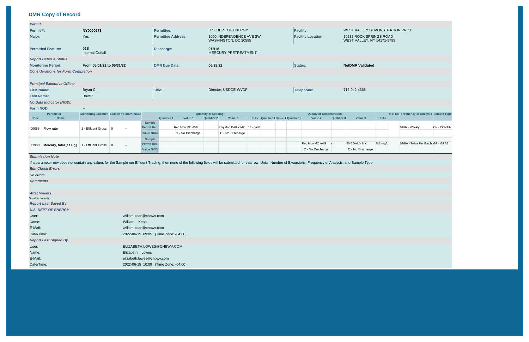| <b>Permit</b>      |                                                                                                                                                                                                                            |                                                 |                                      |                           |                           |                  |                            |                                                  |                                       |                  |                                 |                    |                                                       |              |                                            |             |
|--------------------|----------------------------------------------------------------------------------------------------------------------------------------------------------------------------------------------------------------------------|-------------------------------------------------|--------------------------------------|---------------------------|---------------------------|------------------|----------------------------|--------------------------------------------------|---------------------------------------|------------------|---------------------------------|--------------------|-------------------------------------------------------|--------------|--------------------------------------------|-------------|
| Permit#:           |                                                                                                                                                                                                                            | NY0000973                                       |                                      |                           | <b>Permittee:</b>         |                  |                            | U.S. DEPT OF ENERGY                              |                                       | <b>Facility:</b> |                                 |                    | WEST VALLEY DEMONSTRATION PROJ                        |              |                                            |             |
| Major:             |                                                                                                                                                                                                                            | Yes                                             |                                      |                           | <b>Permittee Address:</b> |                  |                            | 1000 INDEPENDENCE AVE SW<br>WASHINGTON, DC 20585 |                                       |                  | <b>Facility Location:</b>       |                    | 10282 ROCK SPRINGS ROAD<br>WEST VALLEY, NY 14171-9799 |              |                                            |             |
|                    | <b>Permitted Feature:</b>                                                                                                                                                                                                  | 01B<br><b>Internal Outfall</b>                  |                                      |                           | Discharge:                |                  | 01B-M                      | MERCURY PRETREATMENT                             |                                       |                  |                                 |                    |                                                       |              |                                            |             |
|                    | <b>Report Dates &amp; Status</b>                                                                                                                                                                                           |                                                 |                                      |                           |                           |                  |                            |                                                  |                                       |                  |                                 |                    |                                                       |              |                                            |             |
|                    | <b>Monitoring Period:</b>                                                                                                                                                                                                  | From 05/01/22 to 05/31/22                       |                                      |                           | <b>DMR</b> Due Date:      |                  | 06/28/22                   |                                                  |                                       | <b>Status:</b>   |                                 |                    | <b>NetDMR Validated</b>                               |              |                                            |             |
|                    | <b>Considerations for Form Completion</b>                                                                                                                                                                                  |                                                 |                                      |                           |                           |                  |                            |                                                  |                                       |                  |                                 |                    |                                                       |              |                                            |             |
|                    | <b>Principal Executive Officer</b>                                                                                                                                                                                         |                                                 |                                      |                           |                           |                  |                            |                                                  |                                       |                  |                                 |                    |                                                       |              |                                            |             |
| <b>First Name:</b> |                                                                                                                                                                                                                            | Bryan C.                                        |                                      |                           | Title:                    |                  |                            | Director, USDOE-WVDP                             |                                       |                  | Telephone:                      |                    | 716-942-4368                                          |              |                                            |             |
| <b>Last Name:</b>  |                                                                                                                                                                                                                            | Bower                                           |                                      |                           |                           |                  |                            |                                                  |                                       |                  |                                 |                    |                                                       |              |                                            |             |
|                    | <b>No Data Indicator (NODI)</b>                                                                                                                                                                                            |                                                 |                                      |                           |                           |                  |                            |                                                  |                                       |                  |                                 |                    |                                                       |              |                                            |             |
| <b>Form NODI:</b>  |                                                                                                                                                                                                                            |                                                 |                                      |                           |                           |                  |                            |                                                  |                                       |                  |                                 |                    |                                                       |              |                                            |             |
|                    | <b>Parameter</b>                                                                                                                                                                                                           | <b>Monitoring Location Season # Param. NODI</b> |                                      |                           |                           |                  | <b>Quantity or Loading</b> |                                                  |                                       |                  | <b>Quality or Concentration</b> |                    |                                                       |              | # of Ex. Frequency of Analysis Sample Type |             |
| Code               | <b>Name</b>                                                                                                                                                                                                                |                                                 |                                      | <b>Sample</b>             | <b>Qualifier 1</b>        | Value 1          | <b>Qualifier 2</b>         | Value 2                                          | Units Qualifier 1 Value 1 Qualifier 2 |                  | Value 2                         | <b>Qualifier 3</b> | Value 3                                               | <b>Units</b> |                                            |             |
|                    | 00056 Flow rate                                                                                                                                                                                                            | 1 - Effluent Gross   0                          |                                      | Permit Req.               |                           | Req Mon MO AVG   |                            | Req Mon DAILY MX 07 - gal/d                      |                                       |                  |                                 |                    |                                                       |              | 01/07 - Weekly                             | CN - CONTIN |
|                    |                                                                                                                                                                                                                            |                                                 |                                      | <b>Value NODI</b>         |                           | C - No Discharge |                            | C - No Discharge                                 |                                       |                  |                                 |                    |                                                       |              |                                            |             |
|                    |                                                                                                                                                                                                                            |                                                 |                                      | Sample                    |                           |                  |                            |                                                  |                                       |                  |                                 |                    |                                                       |              |                                            |             |
|                    | 71900 Mercury, total [as Hg]                                                                                                                                                                                               | 1 - Effluent Gross   0                          | $\overline{\phantom{a}}$             | Permit Req.               |                           |                  |                            |                                                  |                                       |                  | $\text{Req Mon MO AVG}$ <=      |                    | 50.0 DAILY MX                                         | 3M - ng/L    | 02/BA - Twice Per Batch GR - GRAB          |             |
|                    |                                                                                                                                                                                                                            |                                                 |                                      | <b>Value NODI</b>         |                           |                  |                            |                                                  |                                       |                  | C - No Discharge                |                    | C - No Discharge                                      |              |                                            |             |
|                    | <b>Submission Note</b>                                                                                                                                                                                                     |                                                 |                                      |                           |                           |                  |                            |                                                  |                                       |                  |                                 |                    |                                                       |              |                                            |             |
|                    | If a parameter row does not contain any values for the Sample nor Effluent Trading, then none of the following fields will be submitted for that row: Units, Number of Excursions, Frequency of Analysis, and Sample Type. |                                                 |                                      |                           |                           |                  |                            |                                                  |                                       |                  |                                 |                    |                                                       |              |                                            |             |
|                    | <b>Edit Check Errors</b>                                                                                                                                                                                                   |                                                 |                                      |                           |                           |                  |                            |                                                  |                                       |                  |                                 |                    |                                                       |              |                                            |             |
| No errors.         |                                                                                                                                                                                                                            |                                                 |                                      |                           |                           |                  |                            |                                                  |                                       |                  |                                 |                    |                                                       |              |                                            |             |
| <b>Comments</b>    |                                                                                                                                                                                                                            |                                                 |                                      |                           |                           |                  |                            |                                                  |                                       |                  |                                 |                    |                                                       |              |                                            |             |
|                    |                                                                                                                                                                                                                            |                                                 |                                      |                           |                           |                  |                            |                                                  |                                       |                  |                                 |                    |                                                       |              |                                            |             |
| <b>Attachments</b> |                                                                                                                                                                                                                            |                                                 |                                      |                           |                           |                  |                            |                                                  |                                       |                  |                                 |                    |                                                       |              |                                            |             |
| No attachments.    |                                                                                                                                                                                                                            |                                                 |                                      |                           |                           |                  |                            |                                                  |                                       |                  |                                 |                    |                                                       |              |                                            |             |
|                    | <b>Report Last Saved By</b>                                                                                                                                                                                                |                                                 |                                      |                           |                           |                  |                            |                                                  |                                       |                  |                                 |                    |                                                       |              |                                            |             |
|                    | <b>U.S. DEPT OF ENERGY</b>                                                                                                                                                                                                 |                                                 |                                      |                           |                           |                  |                            |                                                  |                                       |                  |                                 |                    |                                                       |              |                                            |             |
| User:              |                                                                                                                                                                                                                            |                                                 | william.kean@chbwv.com               |                           |                           |                  |                            |                                                  |                                       |                  |                                 |                    |                                                       |              |                                            |             |
| Name:              |                                                                                                                                                                                                                            |                                                 | William Kean                         |                           |                           |                  |                            |                                                  |                                       |                  |                                 |                    |                                                       |              |                                            |             |
| E-Mail:            |                                                                                                                                                                                                                            |                                                 |                                      | william.kean@chbwv.com    |                           |                  |                            |                                                  |                                       |                  |                                 |                    |                                                       |              |                                            |             |
| Date/Time:         |                                                                                                                                                                                                                            |                                                 | 2022-06-15 09:05 (Time Zone: -04:00) |                           |                           |                  |                            |                                                  |                                       |                  |                                 |                    |                                                       |              |                                            |             |
|                    | <b>Report Last Signed By</b>                                                                                                                                                                                               |                                                 |                                      |                           |                           |                  |                            |                                                  |                                       |                  |                                 |                    |                                                       |              |                                            |             |
| User:              |                                                                                                                                                                                                                            |                                                 |                                      | ELIZABETH.LOWES@CHBWV.COM |                           |                  |                            |                                                  |                                       |                  |                                 |                    |                                                       |              |                                            |             |
| Name:              |                                                                                                                                                                                                                            |                                                 | Elizabeth Lowes                      |                           |                           |                  |                            |                                                  |                                       |                  |                                 |                    |                                                       |              |                                            |             |
| E-Mail:            |                                                                                                                                                                                                                            |                                                 | elizabeth.lowes@chbwv.com            |                           |                           |                  |                            |                                                  |                                       |                  |                                 |                    |                                                       |              |                                            |             |
| Date/Time:         |                                                                                                                                                                                                                            |                                                 | 2022-06-15 10:09 (Time Zone: -04:00) |                           |                           |                  |                            |                                                  |                                       |                  |                                 |                    |                                                       |              |                                            |             |

| AD<br>799 | <b>ATION PROJ</b>                                               |                  |
|-----------|-----------------------------------------------------------------|------------------|
|           | # of Ex. Frequency of Analysis Sample Type                      |                  |
|           | 01/07 - Weekly                                                  | <b>CN-CONTIN</b> |
|           | 02/BA - Twice Per Batch GR - GRAB                               |                  |
|           |                                                                 |                  |
|           |                                                                 |                  |
|           |                                                                 |                  |
|           |                                                                 |                  |
|           |                                                                 |                  |
|           | <u> 1990 - Jan James Barnett, martin eta idazlea (h. 1900).</u> |                  |
|           |                                                                 |                  |
|           |                                                                 |                  |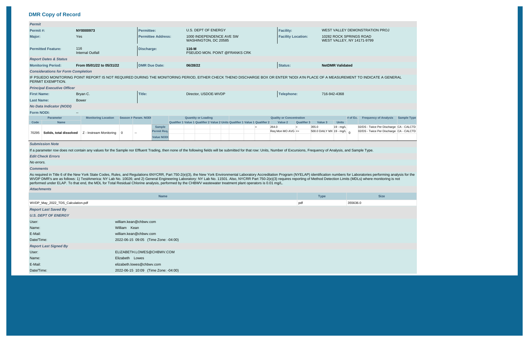### **DMR Copy of Record Permit Permit #: NY0000973 Permittee:** U.S. DEPT OF ENERGY **Facility:** WEST VALLEY DEMONSTRATION PROJ **Major:** Yes **Permittee Address:** 1000 INDEPENDENCE AVE SW WASHINGTON, DC 20585 **Facility Location:** 10282 ROCK SPRINGS ROAD WEST VALLEY, NY 14171-9799 **Permitted Feature:** 116 Internal Outfall **Discharge: 116-M** PSEUDO MON. POINT @FRANKS CRK **Report Dates & Status Monitoring Period: From 05/01/22 to 05/31/22 DMR Due Date: 06/28/22 Status: Status: NetDMR Validated Considerations for Form Completion** IF PSUEDO MONITORING POINT REPORT IS NOT REQUIRED DURING THE MONITORING PERIOD, EITHER CHECK THENO DISCHARGE BOX OR ENTER 'NODI A'IN PLACE OF A MEASUREMENT TO INDICATE A GENERAL PERMIT EXEMPTION. **Principal Executive Officer First Name:** Bryan C. **Title:** Director, USDOE-WVDP **Telephone:** 716-942-4368 Last Name: Bower **No Data Indicator (NODI) Form NODI: Parameter Monitoring Location Season # Param. NODI** Quantity or Loading **Quantity or Loading Quality or Concentration A**  $\blacksquare$  **A**  $\blacksquare$  **A**  $\blacksquare$  **A**  $\blacksquare$  **Ex.** Frequency of Analysis Sample Type **Code Name Qualifier 1 Value 1 Qualifier 2 Value 2 Units Qualifier 1 Value 1 Qualifier 2 Value 2 Qualifier 3 Value 3 Units** 70295 **Solids, total dissolved** Z - Instream Monitoring 0 **Sample** = 264.0 = 355.0 19 - mg/L 500.0 DAILY MX 19 - mg/L  $_0$ 02/DS - Twice Per Discharge CA - CALCTD Permit Req. **Permit Req. Permit Req. Permit Req. Permit Req. 19 - mg/L** 02/DS - Twice Per Discharge CA - CALCTD **Value NODI Submission Note** If a parameter row does not contain any values for the Sample nor Effluent Trading, then none of the following fields will be submitted for that row: Units, Number of Excursions, Frequency of Analysis, and Sample Type. **Edit Check Errors** No errors. **Comments** As required in Title 6 of the New York State Codes, Rules, and Regulations 6NYCRR, Part 750-2(e)(3), the New York Environmental Laboratory Accreditation Program (NYELAP) identification numbers for Laboratories performing a WVDP DMR's are as follows: 1) TestAmerica: NY Lab No. 10026; and 2) General Engineering Laboratory: NY Lab No. 11501. Also, NYCRR Part 750-2(e)(3) requires reporting of Method Detection Limits (MDLs) where monitoring is no performed under ELAP. To that end, the MDL for Total Residual Chlorine analysis, performed by the CHBWV wastewater treatment plant operators is 0.01 mg/L. **Attachments Name Type Size** WVDP\_May\_2022\_TDS\_Calculation.pdf pdf 355636.0 **Report Last Saved By U.S. DEPT OF ENERGY** User: william.kean@chbwv.com Name: William Kean

E-Mail: william.kean@chbwv.com

Date/Time: 2022-06-15 09:05 (Time Zone: -04:00)

**Report Last Signed By**

User: ELIZABETH.LOWES@CHBWV.COM

Name: Elizabeth Lowes

E-Mail: elizabeth.lowes@chbwv.com

Date/Time: 2022-06-15 10:09 (Time Zone: -04:00)